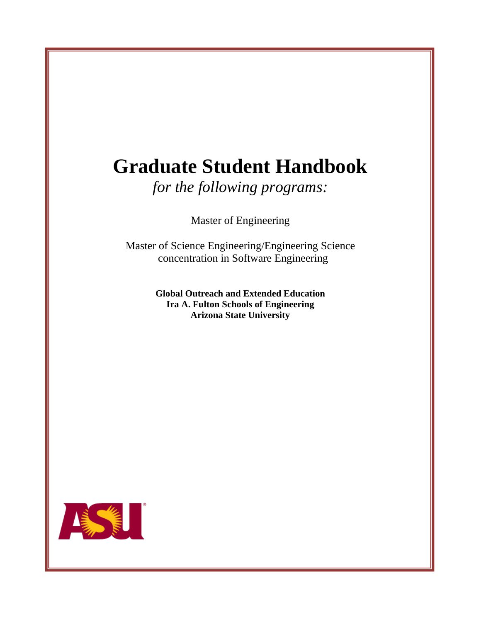# **Graduate Student Handbook**

*for the following programs:*

Master of Engineering

Master of Science Engineering/Engineering Science concentration in Software Engineering

> **Global Outreach and Extended Education Ira A. Fulton Schools of Engineering Arizona State University**

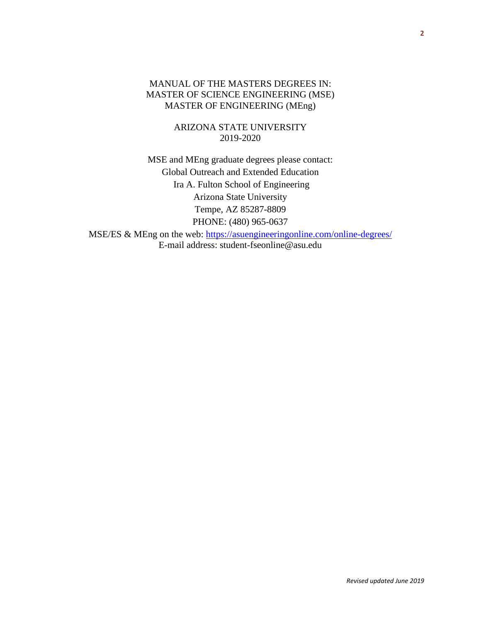## MANUAL OF THE MASTERS DEGREES IN: MASTER OF SCIENCE ENGINEERING (MSE) MASTER OF ENGINEERING (MEng)

ARIZONA STATE UNIVERSITY 2019-2020

MSE and MEng graduate degrees please contact: Global Outreach and Extended Education Ira A. Fulton School of Engineering Arizona State University Tempe, AZ 85287-8809 PHONE: (480) 965-0637

MSE/ES & MEng on the web: [https://asuengineeringonline.com/online-degrees/](https://asuengineeringonline.com/online-degrees/engineering-science-software-engineering-mse) E-mail address: student-fseonline@asu.edu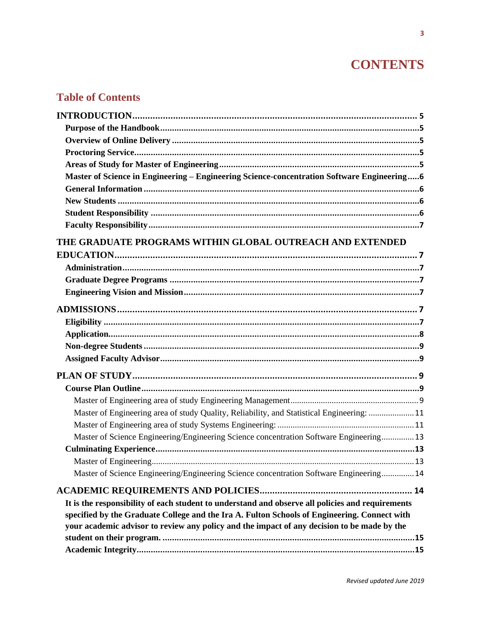## **CONTENTS**

## **Table of Contents**

| Master of Science in Engineering - Engineering Science-concentration Software Engineering6       |  |
|--------------------------------------------------------------------------------------------------|--|
|                                                                                                  |  |
|                                                                                                  |  |
|                                                                                                  |  |
|                                                                                                  |  |
| THE GRADUATE PROGRAMS WITHIN GLOBAL OUTREACH AND EXTENDED                                        |  |
|                                                                                                  |  |
|                                                                                                  |  |
|                                                                                                  |  |
|                                                                                                  |  |
|                                                                                                  |  |
|                                                                                                  |  |
|                                                                                                  |  |
|                                                                                                  |  |
|                                                                                                  |  |
|                                                                                                  |  |
|                                                                                                  |  |
|                                                                                                  |  |
|                                                                                                  |  |
| Master of Engineering area of study Quality, Reliability, and Statistical Engineering:  11       |  |
|                                                                                                  |  |
| Master of Science Engineering/Engineering Science concentration Software Engineering 13          |  |
|                                                                                                  |  |
|                                                                                                  |  |
| Master of Science Engineering/Engineering Science concentration Software Engineering 14          |  |
|                                                                                                  |  |
| It is the responsibility of each student to understand and observe all policies and requirements |  |
| specified by the Graduate College and the Ira A. Fulton Schools of Engineering. Connect with     |  |
| your academic advisor to review any policy and the impact of any decision to be made by the      |  |
|                                                                                                  |  |
|                                                                                                  |  |
|                                                                                                  |  |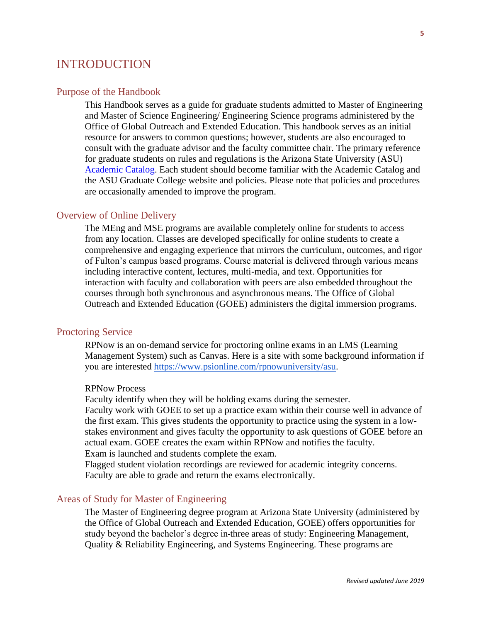## <span id="page-4-0"></span>INTRODUCTION

#### <span id="page-4-1"></span>Purpose of the Handbook

This Handbook serves as a guide for graduate students admitted to Master of Engineering and Master of Science Engineering/ Engineering Science programs administered by the Office of Global Outreach and Extended Education. This handbook serves as an initial resource for answers to common questions; however, students are also encouraged to consult with the graduate advisor and the faculty committee chair. The primary reference for graduate students on rules and regulations is the Arizona State University (ASU) [Academic Catalog.](https://catalog.asu.edu/) Each student should become familiar with the Academic Catalog and the ASU Graduate College website and policies. Please note that policies and procedures are occasionally amended to improve the program.

#### <span id="page-4-2"></span>Overview of Online Delivery

The MEng and MSE programs are available completely online for students to access from any location. Classes are developed specifically for online students to create a comprehensive and engaging experience that mirrors the curriculum, outcomes, and rigor of Fulton's campus based programs. Course material is delivered through various means including interactive content, lectures, multi-media, and text. Opportunities for interaction with faculty and collaboration with peers are also embedded throughout the courses through both synchronous and asynchronous means. The Office of Global Outreach and Extended Education (GOEE) administers the digital immersion programs.

## <span id="page-4-3"></span>Proctoring Service

RPNow is an on-demand service for proctoring online exams in an LMS (Learning Management System) such as Canvas. Here is a site with some background information if you are interested [https://www.psionline.com/rpnowuniversity/asu.](https://www.psionline.com/rpnowuniversity/asu/)

#### RPNow Process

Faculty identify when they will be holding exams during the semester.

Faculty work with GOEE to set up a practice exam within their course well in advance of the first exam. This gives students the opportunity to practice using the system in a lowstakes environment and gives faculty the opportunity to ask questions of GOEE before an actual exam. GOEE creates the exam within RPNow and notifies the faculty. Exam is launched and students complete the exam.

Flagged student violation recordings are reviewed for academic integrity concerns. Faculty are able to grade and return the exams electronically.

#### <span id="page-4-4"></span>Areas of Study for Master of Engineering

The Master of Engineering degree program at Arizona State University (administered by the Office of Global Outreach and Extended Education, GOEE) offers opportunities for study beyond the bachelor's degree in three areas of study: Engineering Management, Quality & Reliability Engineering, and Systems Engineering. These programs are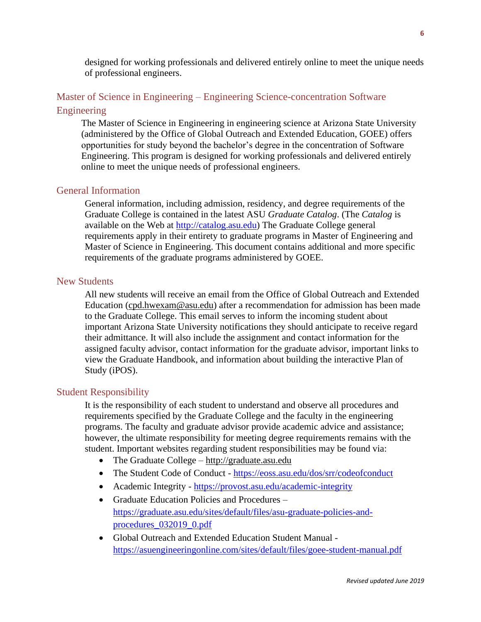designed for working professionals and delivered entirely online to meet the unique needs of professional engineers.

## <span id="page-5-0"></span>Master of Science in Engineering – Engineering Science-concentration Software Engineering

The Master of Science in Engineering in engineering science at Arizona State University (administered by the Office of Global Outreach and Extended Education, GOEE) offers opportunities for study beyond the bachelor's degree in the concentration of Software Engineering. This program is designed for working professionals and delivered entirely online to meet the unique needs of professional engineers.

## <span id="page-5-1"></span>General Information

General information, including admission, residency, and degree requirements of the Graduate College is contained in the latest ASU *Graduate Catalog*. (The *Catalog* is available on the Web at [http://catalog.asu.edu\)](http://catalog.asu.edu/) The Graduate College general requirements apply in their entirety to graduate programs in Master of Engineering and Master of Science in Engineering. This document contains additional and more specific requirements of the graduate programs administered by GOEE.

## <span id="page-5-2"></span>New Students

All new students will receive an email from the Office of Global Outreach and Extended Education [\(cpd.hwexam@asu.edu\)](mailto:cpd.hwexam@asu.edu) after a recommendation for admission has been made to the Graduate College. This email serves to inform the incoming student about important Arizona State University notifications they should anticipate to receive regard their admittance. It will also include the assignment and contact information for the assigned faculty advisor, contact information for the graduate advisor, important links to view the Graduate Handbook, and information about building the interactive Plan of Study (iPOS).

#### <span id="page-5-3"></span>Student Responsibility

It is the responsibility of each student to understand and observe all procedures and requirements specified by the Graduate College and the faculty in the engineering programs. The faculty and graduate advisor provide academic advice and assistance; however, the ultimate responsibility for meeting degree requirements remains with the student. Important websites regarding student responsibilities may be found via:

- The Graduate College [http://graduate.asu.edu](http://graduate.asu.edu/)
- The Student Code of Conduct <https://eoss.asu.edu/dos/srr/codeofconduct>
- Academic Integrity <https://provost.asu.edu/academic-integrity>
- Graduate Education Policies and Procedures [https://graduate.asu.edu/sites/default/files/asu-graduate-policies-and](https://graduate.asu.edu/sites/default/files/asu-graduate-policies-and-procedures_032019_0.pdf)[procedures\\_032019\\_0.pdf](https://graduate.asu.edu/sites/default/files/asu-graduate-policies-and-procedures_032019_0.pdf)
- Global Outreach and Extended Education Student Manual <https://asuengineeringonline.com/sites/default/files/goee-student-manual.pdf>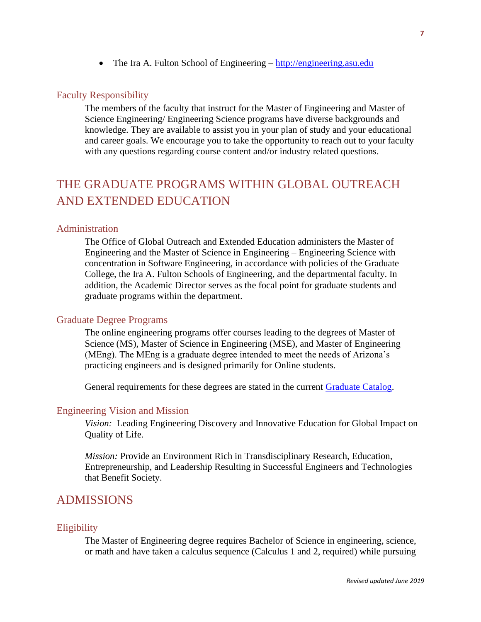• The Ira A. Fulton School of Engineering – [http://engineering.asu.edu](http://engineering.asu.edu/)

#### <span id="page-6-0"></span>Faculty Responsibility

The members of the faculty that instruct for the Master of Engineering and Master of Science Engineering/ Engineering Science programs have diverse backgrounds and knowledge. They are available to assist you in your plan of study and your educational and career goals. We encourage you to take the opportunity to reach out to your faculty with any questions regarding course content and/or industry related questions.

## <span id="page-6-1"></span>THE GRADUATE PROGRAMS WITHIN GLOBAL OUTREACH AND EXTENDED EDUCATION

## <span id="page-6-2"></span>Administration

The Office of Global Outreach and Extended Education administers the Master of Engineering and the Master of Science in Engineering – Engineering Science with concentration in Software Engineering, in accordance with policies of the Graduate College, the Ira A. Fulton Schools of Engineering, and the departmental faculty. In addition, the Academic Director serves as the focal point for graduate students and graduate programs within the department.

#### <span id="page-6-3"></span>Graduate Degree Programs

The online engineering programs offer courses leading to the degrees of Master of Science (MS), Master of Science in Engineering (MSE), and Master of Engineering (MEng). The MEng is a graduate degree intended to meet the needs of Arizona's practicing engineers and is designed primarily for Online students.

General requirements for these degrees are stated in the current [Graduate Catalog.](https://webapp4.asu.edu/programs/t5/graduate/false?init=false&nopassive=true)

#### <span id="page-6-4"></span>Engineering Vision and Mission

*Vision:* Leading Engineering Discovery and Innovative Education for Global Impact on Quality of Life.

*Mission:* Provide an Environment Rich in Transdisciplinary Research, Education, Entrepreneurship, and Leadership Resulting in Successful Engineers and Technologies that Benefit Society.

## <span id="page-6-5"></span>ADMISSIONS

#### <span id="page-6-6"></span>**Eligibility**

The Master of Engineering degree requires Bachelor of Science in engineering, science, or math and have taken a calculus sequence (Calculus 1 and 2, required) while pursuing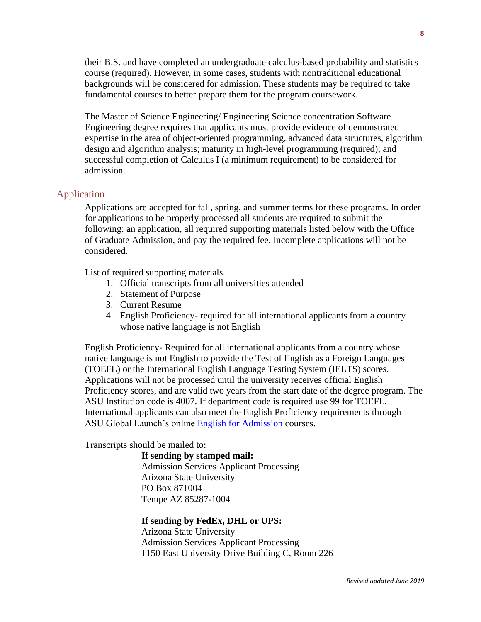their B.S. and have completed an undergraduate calculus-based probability and statistics course (required). However, in some cases, students with nontraditional educational backgrounds will be considered for admission. These students may be required to take fundamental courses to better prepare them for the program coursework.

The Master of Science Engineering/ Engineering Science concentration Software Engineering degree requires that applicants must provide evidence of demonstrated expertise in the area of object-oriented programming, advanced data structures, algorithm design and algorithm analysis; maturity in high-level programming (required); and successful completion of Calculus I (a minimum requirement) to be considered for admission.

#### <span id="page-7-0"></span>Application

Applications are accepted for fall, spring, and summer terms for these programs. In order for applications to be properly processed all students are required to submit the following: an application, all required supporting materials listed below with the Office of Graduate Admission, and pay the required fee. Incomplete applications will not be considered.

List of required supporting materials.

- 1. Official transcripts from all universities attended
- 2. Statement of Purpose
- 3. Current Resume
- 4. English Proficiency- required for all international applicants from a country whose native language is not English

English Proficiency- Required for all international applicants from a country whose native language is not English to provide the Test of English as a Foreign Languages (TOEFL) or the International English Language Testing System (IELTS) scores. Applications will not be processed until the university receives official English Proficiency scores, and are valid two years from the start date of the degree program. The ASU Institution code is 4007. If department code is required use 99 for TOEFL. International applicants can also meet the English Proficiency requirements through ASU Global Launch's online [English for Admission](https://learnenglish.asu.edu/online/admission) courses.

Transcripts should be mailed to:

**If sending by stamped mail:**

Admission Services Applicant Processing Arizona State University PO Box 871004 Tempe AZ 85287-1004

#### **If sending by FedEx, DHL or UPS:**

Arizona State University Admission Services Applicant Processing 1150 East University Drive Building C, Room 226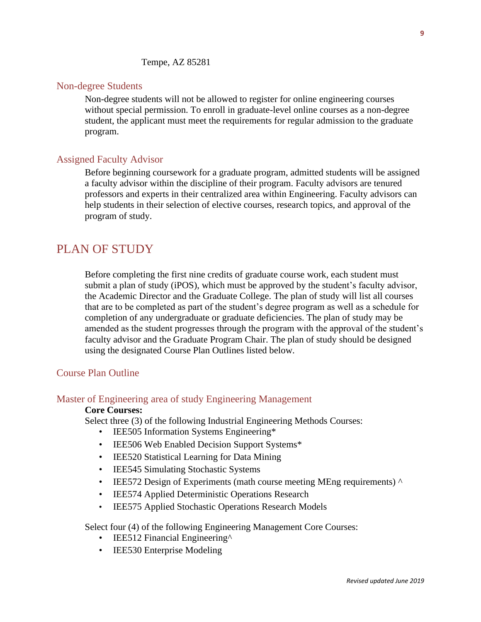Tempe, AZ 85281

#### <span id="page-8-0"></span>Non-degree Students

Non-degree students will not be allowed to register for online engineering courses without special permission. To enroll in graduate-level online courses as a non-degree student, the applicant must meet the requirements for regular admission to the graduate program.

#### <span id="page-8-1"></span>Assigned Faculty Advisor

Before beginning coursework for a graduate program, admitted students will be assigned a faculty advisor within the discipline of their program. Faculty advisors are tenured professors and experts in their centralized area within Engineering. Faculty advisors can help students in their selection of elective courses, research topics, and approval of the program of study.

## <span id="page-8-2"></span>PLAN OF STUDY

Before completing the first nine credits of graduate course work, each student must submit a plan of study (iPOS), which must be approved by the student's faculty advisor, the Academic Director and the Graduate College. The plan of study will list all courses that are to be completed as part of the student's degree program as well as a schedule for completion of any undergraduate or graduate deficiencies. The plan of study may be amended as the student progresses through the program with the approval of the student's faculty advisor and the Graduate Program Chair. The plan of study should be designed using the designated Course Plan Outlines listed below.

#### <span id="page-8-3"></span>Course Plan Outline

## <span id="page-8-4"></span>Master of Engineering area of study Engineering Management

#### **Core Courses:**

Select three (3) of the following Industrial Engineering Methods Courses:

- IEE505 Information Systems Engineering\*
- IEE506 Web Enabled Decision Support Systems\*
- IEE520 Statistical Learning for Data Mining
- IEE545 Simulating Stochastic Systems
- IEE572 Design of Experiments (math course meeting MEng requirements)  $\wedge$
- IEE574 Applied Deterministic Operations Research
- IEE575 Applied Stochastic Operations Research Models

Select four (4) of the following Engineering Management Core Courses:

- IEE512 Financial Engineering<sup>^</sup>
- **IEE530 Enterprise Modeling**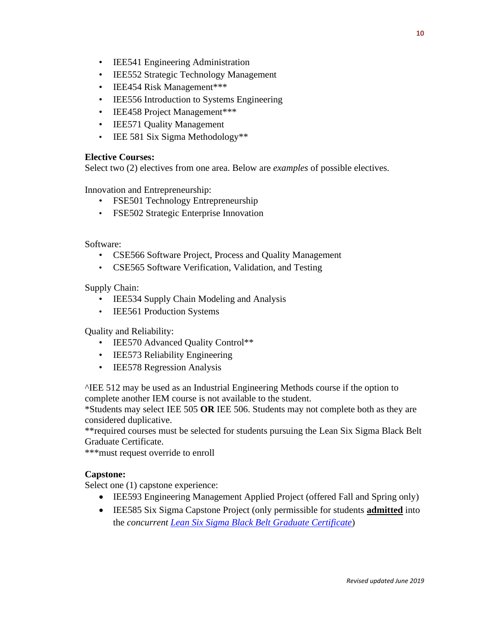- IEE541 Engineering Administration
- IEE552 Strategic Technology Management
- IEE454 Risk Management\*\*\*
- IEE556 Introduction to Systems Engineering
- IEE458 Project Management\*\*\*
- IEE571 Quality Management
- IEE 581 Six Sigma Methodology\*\*

## **Elective Courses:**

Select two (2) electives from one area. Below are *examples* of possible electives.

Innovation and Entrepreneurship:

- FSE501 Technology Entrepreneurship
- FSE502 Strategic Enterprise Innovation

Software:

- CSE566 Software Project, Process and Quality Management
- CSE565 Software Verification, Validation, and Testing

Supply Chain:

- IEE534 Supply Chain Modeling and Analysis
- **IEE561 Production Systems**

Quality and Reliability:

- IEE570 Advanced Ouality Control\*\*
- **IEE573 Reliability Engineering**
- IEE578 Regression Analysis

^IEE 512 may be used as an Industrial Engineering Methods course if the option to complete another IEM course is not available to the student.

\*Students may select IEE 505 **OR** IEE 506. Students may not complete both as they are considered duplicative.

\*\*required courses must be selected for students pursuing the Lean Six Sigma Black Belt Graduate Certificate.

\*\*\*must request override to enroll

## **Capstone:**

Select one (1) capstone experience:

- IEE593 Engineering Management Applied Project (offered Fall and Spring only)
- IEE585 Six Sigma Capstone Project (only permissible for students **admitted** into the *concurrent [Lean Six Sigma Black Belt](https://asuonline.asu.edu/online-degree-programs/certificates/lean-six-sigma-black-belt-graduate-certificate/) Graduate Certificate*)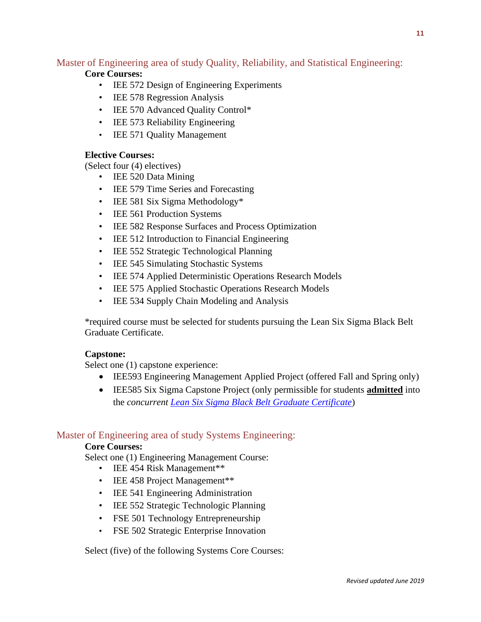## <span id="page-10-0"></span>Master of Engineering area of study Quality, Reliability, and Statistical Engineering:

## **Core Courses:**

- IEE 572 Design of Engineering Experiments
- IEE 578 Regression Analysis
- IEE 570 Advanced Quality Control\*
- IEE 573 Reliability Engineering
- IEE 571 Quality Management

## **Elective Courses:**

(Select four (4) electives)

- IEE 520 Data Mining
- IEE 579 Time Series and Forecasting
- IEE 581 Six Sigma Methodology\*
- **IEE 561 Production Systems**
- IEE 582 Response Surfaces and Process Optimization
- IEE 512 Introduction to Financial Engineering
- IEE 552 Strategic Technological Planning
- IEE 545 Simulating Stochastic Systems
- IEE 574 Applied Deterministic Operations Research Models
- IEE 575 Applied Stochastic Operations Research Models
- IEE 534 Supply Chain Modeling and Analysis

\*required course must be selected for students pursuing the Lean Six Sigma Black Belt Graduate Certificate.

## **Capstone:**

Select one (1) capstone experience:

- IEE593 Engineering Management Applied Project (offered Fall and Spring only)
- IEE585 Six Sigma Capstone Project (only permissible for students **admitted** into the *concurrent [Lean Six Sigma Black Belt Graduate Certificate](https://asuonline.asu.edu/online-degree-programs/certificates/lean-six-sigma-black-belt-graduate-certificate/)*)

## <span id="page-10-1"></span>Master of Engineering area of study Systems Engineering:

## **Core Courses:**

Select one (1) Engineering Management Course:

- IEE 454 Risk Management\*\*
- IEE 458 Project Management\*\*
- IEE 541 Engineering Administration
- IEE 552 Strategic Technologic Planning
- FSE 501 Technology Entrepreneurship
- FSE 502 Strategic Enterprise Innovation

Select (five) of the following Systems Core Courses: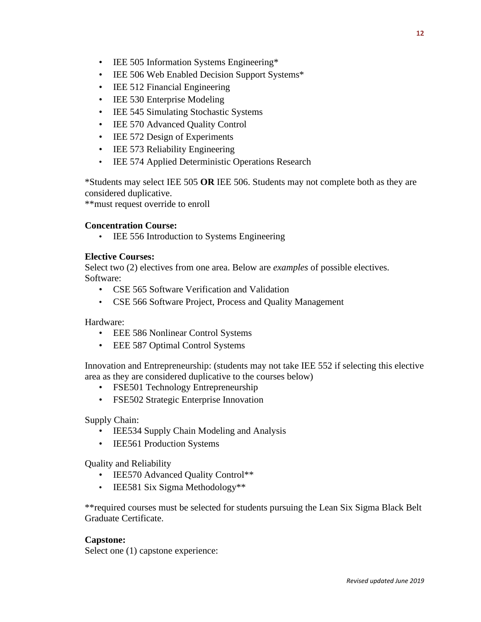- IEE 505 Information Systems Engineering\*
- IEE 506 Web Enabled Decision Support Systems\*
- IEE 512 Financial Engineering
- IEE 530 Enterprise Modeling
- IEE 545 Simulating Stochastic Systems
- IEE 570 Advanced Quality Control
- IEE 572 Design of Experiments
- IEE 573 Reliability Engineering
- IEE 574 Applied Deterministic Operations Research

\*Students may select IEE 505 **OR** IEE 506. Students may not complete both as they are considered duplicative.

\*\*must request override to enroll

## **Concentration Course:**

• IEE 556 Introduction to Systems Engineering

### **Elective Courses:**

Select two (2) electives from one area. Below are *examples* of possible electives. Software:

- CSE 565 Software Verification and Validation
- CSE 566 Software Project, Process and Quality Management

Hardware:

- EEE 586 Nonlinear Control Systems
- EEE 587 Optimal Control Systems

Innovation and Entrepreneurship: (students may not take IEE 552 if selecting this elective area as they are considered duplicative to the courses below)

- FSE501 Technology Entrepreneurship
- FSE502 Strategic Enterprise Innovation

Supply Chain:

- IEE534 Supply Chain Modeling and Analysis
- IEE561 Production Systems

Quality and Reliability

- IEE570 Advanced Quality Control\*\*
- IEE581 Six Sigma Methodology\*\*

\*\*required courses must be selected for students pursuing the Lean Six Sigma Black Belt Graduate Certificate.

#### **Capstone:**

Select one (1) capstone experience: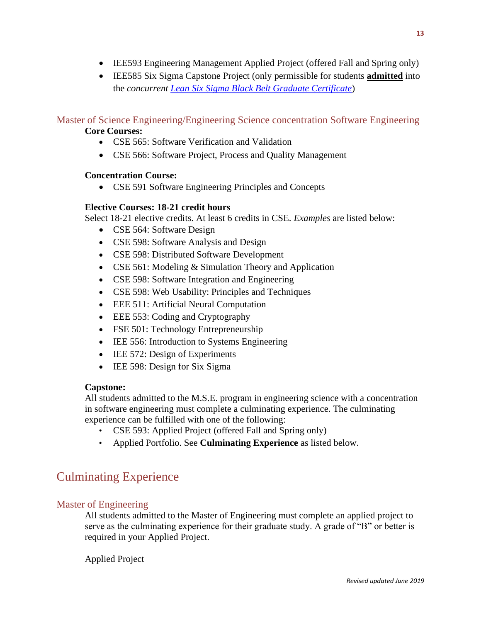- IEE593 Engineering Management Applied Project (offered Fall and Spring only)
- IEE585 Six Sigma Capstone Project (only permissible for students **admitted** into the *concurrent [Lean Six Sigma Black Belt Graduate Certificate](https://asuonline.asu.edu/online-degree-programs/certificates/lean-six-sigma-black-belt-graduate-certificate/)*)

<span id="page-12-0"></span>Master of Science Engineering/Engineering Science concentration Software Engineering **Core Courses:**

- CSE 565: Software Verification and Validation
- CSE 566: Software Project, Process and Quality Management

## **Concentration Course:**

• CSE 591 Software Engineering Principles and Concepts

## **Elective Courses: 18-21 credit hours**

Select 18-21 elective credits. At least 6 credits in CSE. *Examples* are listed below:

- CSE 564: Software Design
- CSE 598: Software Analysis and Design
- CSE 598: Distributed Software Development
- CSE 561: Modeling & Simulation Theory and Application
- CSE 598: Software Integration and Engineering
- CSE 598: Web Usability: Principles and Techniques
- EEE 511: Artificial Neural Computation
- EEE 553: Coding and Cryptography
- FSE 501: Technology Entrepreneurship
- IEE 556: Introduction to Systems Engineering
- IEE 572: Design of Experiments
- IEE 598: Design for Six Sigma

## **Capstone:**

All students admitted to the M.S.E. program in engineering science with a concentration in software engineering must complete a culminating experience. The culminating experience can be fulfilled with one of the following:

- CSE 593: Applied Project (offered Fall and Spring only)
- Applied Portfolio. See **Culminating Experience** as listed below.

## <span id="page-12-1"></span>Culminating Experience

## <span id="page-12-2"></span>Master of Engineering

All students admitted to the Master of Engineering must complete an applied project to serve as the culminating experience for their graduate study. A grade of "B" or better is required in your Applied Project.

Applied Project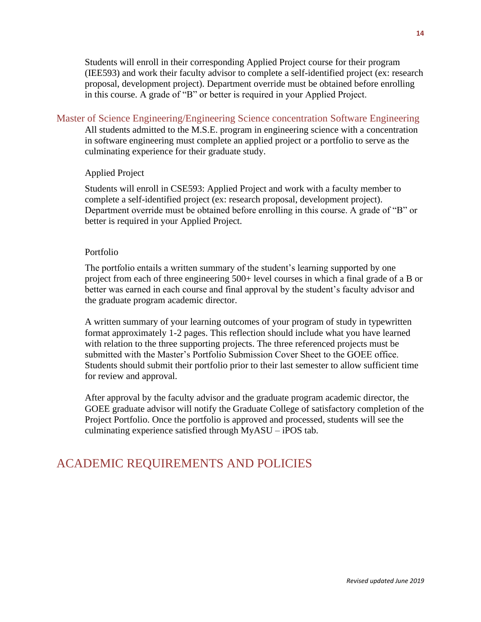Students will enroll in their corresponding Applied Project course for their program (IEE593) and work their faculty advisor to complete a self-identified project (ex: research proposal, development project). Department override must be obtained before enrolling in this course. A grade of "B" or better is required in your Applied Project.

#### <span id="page-13-0"></span>Master of Science Engineering/Engineering Science concentration Software Engineering

All students admitted to the M.S.E. program in engineering science with a concentration in software engineering must complete an applied project or a portfolio to serve as the culminating experience for their graduate study.

#### Applied Project

Students will enroll in CSE593: Applied Project and work with a faculty member to complete a self-identified project (ex: research proposal, development project). Department override must be obtained before enrolling in this course. A grade of "B" or better is required in your Applied Project.

#### Portfolio

The portfolio entails a written summary of the student's learning supported by one project from each of three engineering 500+ level courses in which a final grade of a B or better was earned in each course and final approval by the student's faculty advisor and the graduate program academic director.

A written summary of your learning outcomes of your program of study in typewritten format approximately 1-2 pages. This reflection should include what you have learned with relation to the three supporting projects. The three referenced projects must be submitted with the Master's Portfolio Submission Cover Sheet to the GOEE office. Students should submit their portfolio prior to their last semester to allow sufficient time for review and approval.

After approval by the faculty advisor and the graduate program academic director, the GOEE graduate advisor will notify the Graduate College of satisfactory completion of the Project Portfolio. Once the portfolio is approved and processed, students will see the culminating experience satisfied through MyASU – iPOS tab.

## <span id="page-13-1"></span>ACADEMIC REQUIREMENTS AND POLICIES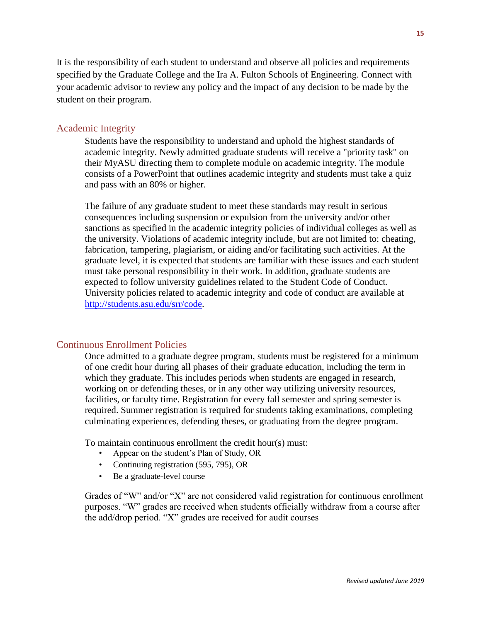<span id="page-14-0"></span>It is the responsibility of each student to understand and observe all policies and requirements specified by the Graduate College and the Ira A. Fulton Schools of Engineering. Connect with your academic advisor to review any policy and the impact of any decision to be made by the student on their program.

## <span id="page-14-1"></span>Academic Integrity

Students have the responsibility to understand and uphold the highest standards of academic integrity. Newly admitted graduate students will receive a "priority task" on their MyASU directing them to complete module on academic integrity. The module consists of a PowerPoint that outlines academic integrity and students must take a quiz and pass with an 80% or higher.

The failure of any graduate student to meet these standards may result in serious consequences including suspension or expulsion from the university and/or other sanctions as specified in the academic integrity policies of individual colleges as well as the university. Violations of academic integrity include, but are not limited to: cheating, fabrication, tampering, plagiarism, or aiding and/or facilitating such activities. At the graduate level, it is expected that students are familiar with these issues and each student must take personal responsibility in their work. In addition, graduate students are expected to follow university guidelines related to the Student Code of Conduct. University policies related to academic integrity and code of conduct are available at [http://students.asu.edu/srr/code.](http://students.asu.edu/srr/code)

## <span id="page-14-2"></span>Continuous Enrollment Policies

Once admitted to a graduate degree program, students must be registered for a minimum of one credit hour during all phases of their graduate education, including the term in which they graduate. This includes periods when students are engaged in research, working on or defending theses, or in any other way utilizing university resources, facilities, or faculty time. Registration for every fall semester and spring semester is required. Summer registration is required for students taking examinations, completing culminating experiences, defending theses, or graduating from the degree program.

To maintain continuous enrollment the credit hour(s) must:

- Appear on the student's Plan of Study, OR
- Continuing registration (595, 795), OR
- Be a graduate-level course

Grades of "W" and/or "X" are not considered valid registration for continuous enrollment purposes. "W" grades are received when students officially withdraw from a course after the add/drop period. "X" grades are received for audit courses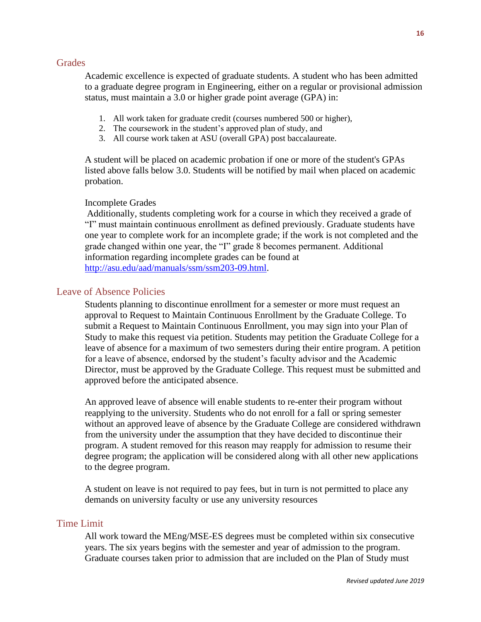#### <span id="page-15-0"></span>**Grades**

Academic excellence is expected of graduate students. A student who has been admitted to a graduate degree program in Engineering, either on a regular or provisional admission status, must maintain a 3.0 or higher grade point average (GPA) in:

- 1. All work taken for graduate credit (courses numbered 500 or higher),
- 2. The coursework in the student's approved plan of study, and
- 3. All course work taken at ASU (overall GPA) post baccalaureate.

A student will be placed on academic probation if one or more of the student's GPAs listed above falls below 3.0. Students will be notified by mail when placed on academic probation.

#### Incomplete Grades

Additionally, students completing work for a course in which they received a grade of "I" must maintain continuous enrollment as defined previously. Graduate students have one year to complete work for an incomplete grade; if the work is not completed and the grade changed within one year, the "I" grade 8 becomes permanent. Additional information regarding incomplete grades can be found at [http://asu.edu/aad/manuals/ssm/ssm203-09.html.](http://asu.edu/aad/manuals/ssm/ssm203-09.html)

### <span id="page-15-1"></span>Leave of Absence Policies

Students planning to discontinue enrollment for a semester or more must request an approval to Request to Maintain Continuous Enrollment by the Graduate College. To submit a Request to Maintain Continuous Enrollment, you may sign into your Plan of Study to make this request via petition. Students may petition the Graduate College for a leave of absence for a maximum of two semesters during their entire program. A petition for a leave of absence, endorsed by the student's faculty advisor and the Academic Director, must be approved by the Graduate College. This request must be submitted and approved before the anticipated absence.

An approved leave of absence will enable students to re-enter their program without reapplying to the university. Students who do not enroll for a fall or spring semester without an approved leave of absence by the Graduate College are considered withdrawn from the university under the assumption that they have decided to discontinue their program. A student removed for this reason may reapply for admission to resume their degree program; the application will be considered along with all other new applications to the degree program.

A student on leave is not required to pay fees, but in turn is not permitted to place any demands on university faculty or use any university resources

### <span id="page-15-2"></span>Time Limit

All work toward the MEng/MSE-ES degrees must be completed within six consecutive years. The six years begins with the semester and year of admission to the program. Graduate courses taken prior to admission that are included on the Plan of Study must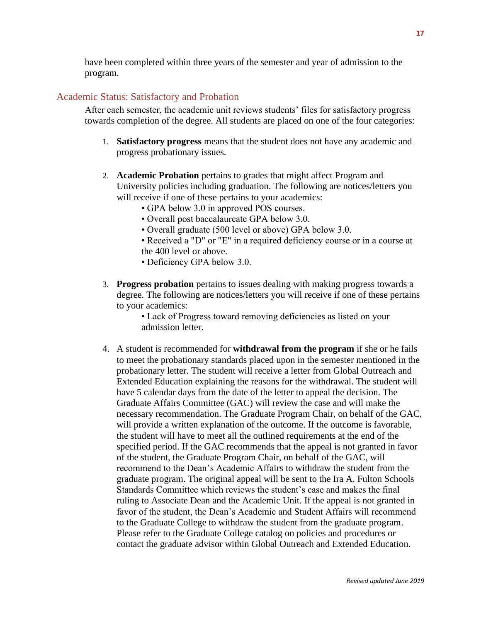have been completed within three years of the semester and year of admission to the program.

## <span id="page-16-0"></span>Academic Status: Satisfactory and Probation

After each semester, the academic unit reviews students' files for satisfactory progress towards completion of the degree. All students are placed on one of the four categories:

- 1. **Satisfactory progress** means that the student does not have any academic and progress probationary issues.
- 2. **Academic Probation** pertains to grades that might affect Program and University policies including graduation. The following are notices/letters you will receive if one of these pertains to your academics:
	- GPA below 3.0 in approved POS courses.
	- Overall post baccalaureate GPA below 3.0.
	- Overall graduate (500 level or above) GPA below 3.0.
	- Received a "D" or "E" in a required deficiency course or in a course at the 400 level or above.
	- Deficiency GPA below 3.0.
- 3. **Progress probation** pertains to issues dealing with making progress towards a degree. The following are notices/letters you will receive if one of these pertains to your academics:

• Lack of Progress toward removing deficiencies as listed on your admission letter.

4. A student is recommended for **withdrawal from the program** if she or he fails to meet the probationary standards placed upon in the semester mentioned in the probationary letter. The student will receive a letter from Global Outreach and Extended Education explaining the reasons for the withdrawal. The student will have 5 calendar days from the date of the letter to appeal the decision. The Graduate Affairs Committee (GAC) will review the case and will make the necessary recommendation. The Graduate Program Chair, on behalf of the GAC, will provide a written explanation of the outcome. If the outcome is favorable, the student will have to meet all the outlined requirements at the end of the specified period. If the GAC recommends that the appeal is not granted in favor of the student, the Graduate Program Chair, on behalf of the GAC, will recommend to the Dean's Academic Affairs to withdraw the student from the graduate program. The original appeal will be sent to the Ira A. Fulton Schools Standards Committee which reviews the student's case and makes the final ruling to Associate Dean and the Academic Unit. If the appeal is not granted in favor of the student, the Dean's Academic and Student Affairs will recommend to the Graduate College to withdraw the student from the graduate program. Please refer to the Graduate College catalog on policies and procedures or contact the graduate advisor within Global Outreach and Extended Education.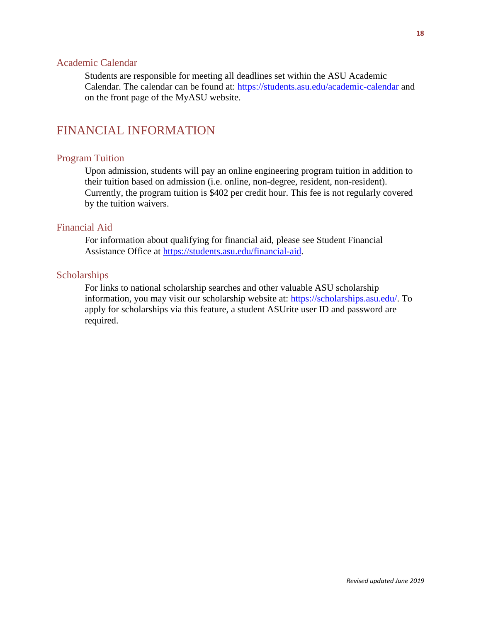#### <span id="page-17-0"></span>Academic Calendar

Students are responsible for meeting all deadlines set within the ASU Academic Calendar. The calendar can be found at: <https://students.asu.edu/academic-calendar> and on the front page of the MyASU website.

## <span id="page-17-1"></span>FINANCIAL INFORMATION

## <span id="page-17-2"></span>Program Tuition

Upon admission, students will pay an online engineering program tuition in addition to their tuition based on admission (i.e. online, non-degree, resident, non-resident). Currently, the program tuition is \$402 per credit hour. This fee is not regularly covered by the tuition waivers.

## <span id="page-17-3"></span>Financial Aid

For information about qualifying for financial aid, please see Student Financial Assistance Office at [https://students.asu.edu/financial-aid.](https://students.asu.edu/financial-aid)

#### <span id="page-17-4"></span>**Scholarships**

For links to national scholarship searches and other valuable ASU scholarship information, you may visit our scholarship website at: [https://scholarships.asu.edu/.](https://scholarships.asu.edu/) To apply for scholarships via this feature, a student ASUrite user ID and password are required.